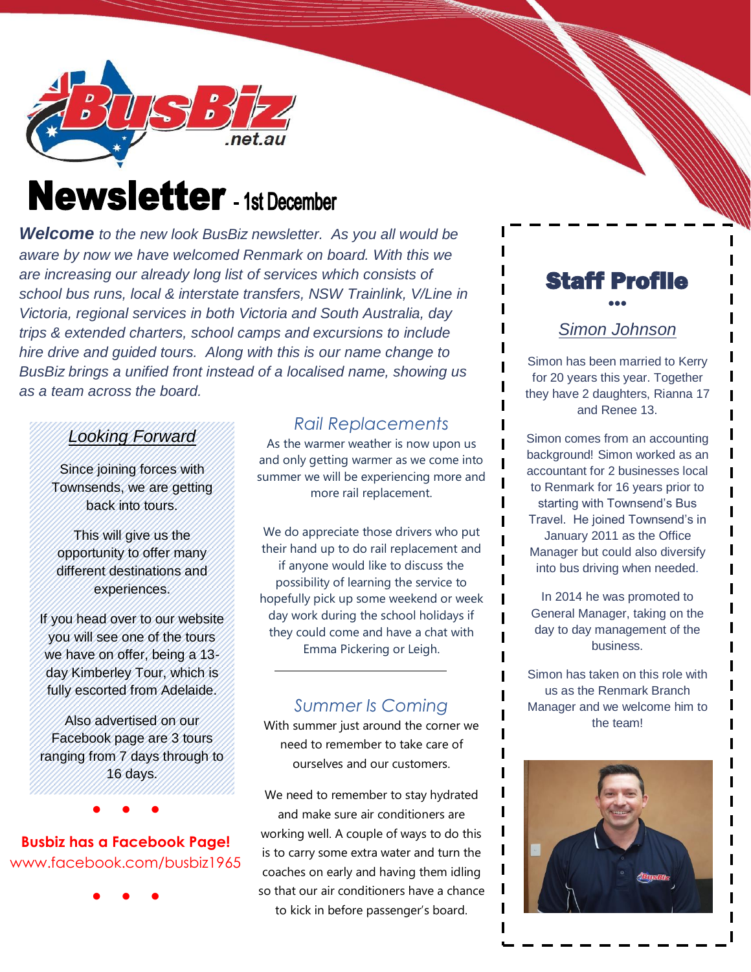

# **Newsletter** - 1st December

*Welcome to the new look BusBiz newsletter. As you all would be aware by now we have welcomed Renmark on board. With this we are increasing our already long list of services which consists of school bus runs, local & interstate transfers, NSW Trainlink, V/Line in Victoria, regional services in both Victoria and South Australia, day trips & extended charters, school camps and excursions to include hire drive and guided tours. Along with this is our name change to BusBiz brings a unified front instead of a localised name, showing us as a team across the board.*

### *Looking Forward*

Since joining forces with Townsends, we are getting back into tours.

This will give us the opportunity to offer many different destinations and experiences.

If you head over to our website you will see one of the tours we have on offer, being a 13 day Kimberley Tour, which is fully escorted from Adelaide.

Also advertised on our Facebook page are 3 tours ranging from 7 days through to 16 days.

# **Busbiz has a Facebook Page!** www.facebook.com/busbiz1965

● ● ●

● ● ●

# *Rail Replacements*

As the warmer weather is now upon us and only getting warmer as we come into summer we will be experiencing more and more rail replacement.

We do appreciate those drivers who put their hand up to do rail replacement and if anyone would like to discuss the possibility of learning the service to hopefully pick up some weekend or week day work during the school holidays if they could come and have a chat with Emma Pickering or Leigh.

## *Summer Is Coming*

With summer just around the corner we need to remember to take care of ourselves and our customers.

We need to remember to stay hydrated and make sure air conditioners are working well. A couple of ways to do this is to carry some extra water and turn the coaches on early and having them idling so that our air conditioners have a chance to kick in before passenger's board.



#### *Simon Johnson*

Simon has been married to Kerry for 20 years this year. Together they have 2 daughters, Rianna 17 and Renee 13.

Simon comes from an accounting background! Simon worked as an accountant for 2 businesses local to Renmark for 16 years prior to starting with Townsend's Bus Travel. He joined Townsend's in January 2011 as the Office Manager but could also diversify into bus driving when needed.

In 2014 he was promoted to General Manager, taking on the day to day management of the business.

 $\blacksquare$ 

Simon has taken on this role with us as the Renmark Branch Manager and we welcome him to the team!